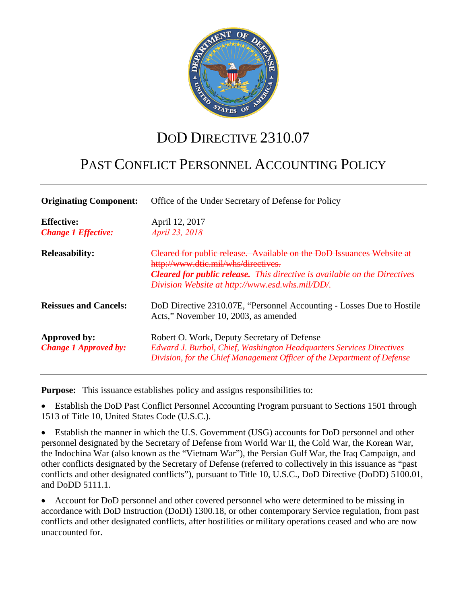

# DOD DIRECTIVE 2310.07

# PAST CONFLICT PERSONNEL ACCOUNTING POLICY

| <b>Originating Component:</b>                   | Office of the Under Secretary of Defense for Policy                                                                                                                                                                                                 |
|-------------------------------------------------|-----------------------------------------------------------------------------------------------------------------------------------------------------------------------------------------------------------------------------------------------------|
| <b>Effective:</b><br><b>Change 1 Effective:</b> | April 12, 2017<br>April 23, 2018                                                                                                                                                                                                                    |
| <b>Releasability:</b>                           | Cleared for public release. Available on the DoD Issuances Website at<br>http://www.dtic.mil/whs/directives.<br><b>Cleared for public release.</b> This directive is available on the Directives<br>Division Website at http://www.esd.whs.mil/DD/. |
| <b>Reissues and Cancels:</b>                    | DoD Directive 2310.07E, "Personnel Accounting - Losses Due to Hostile<br>Acts," November 10, 2003, as amended                                                                                                                                       |
| Approved by:<br><b>Change 1 Approved by:</b>    | Robert O. Work, Deputy Secretary of Defense<br>Edward J. Burbol, Chief, Washington Headquarters Services Directives<br>Division, for the Chief Management Officer of the Department of Defense                                                      |

**Purpose:** This issuance establishes policy and assigns responsibilities to:

• Establish the DoD Past Conflict Personnel Accounting Program pursuant to Sections 1501 through 1513 of Title 10, United States Code (U.S.C.).

• Establish the manner in which the U.S. Government (USG) accounts for DoD personnel and other personnel designated by the Secretary of Defense from World War II, the Cold War, the Korean War, the Indochina War (also known as the "Vietnam War"), the Persian Gulf War, the Iraq Campaign, and other conflicts designated by the Secretary of Defense (referred to collectively in this issuance as "past conflicts and other designated conflicts"), pursuant to Title 10, U.S.C., DoD Directive (DoDD) 5100.01, and DoDD 5111.1.

• Account for DoD personnel and other covered personnel who were determined to be missing in accordance with DoD Instruction (DoDI) 1300.18, or other contemporary Service regulation, from past conflicts and other designated conflicts, after hostilities or military operations ceased and who are now unaccounted for.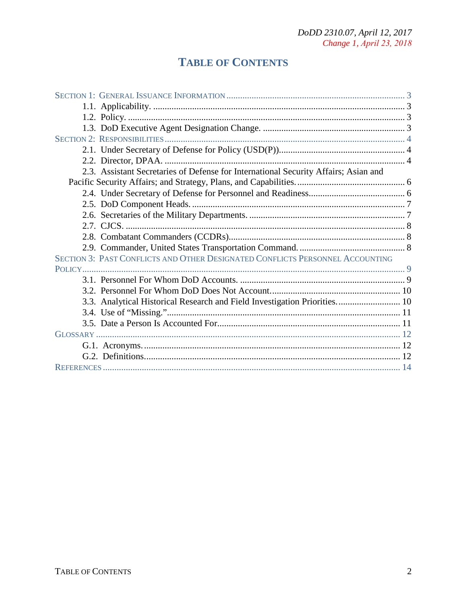## **TABLE OF CONTENTS**

| 2.3. Assistant Secretaries of Defense for International Security Affairs; Asian and |  |
|-------------------------------------------------------------------------------------|--|
|                                                                                     |  |
|                                                                                     |  |
|                                                                                     |  |
|                                                                                     |  |
|                                                                                     |  |
|                                                                                     |  |
|                                                                                     |  |
| SECTION 3: PAST CONFLICTS AND OTHER DESIGNATED CONFLICTS PERSONNEL ACCOUNTING       |  |
|                                                                                     |  |
|                                                                                     |  |
|                                                                                     |  |
| 3.3. Analytical Historical Research and Field Investigation Priorities 10           |  |
|                                                                                     |  |
|                                                                                     |  |
|                                                                                     |  |
|                                                                                     |  |
|                                                                                     |  |
|                                                                                     |  |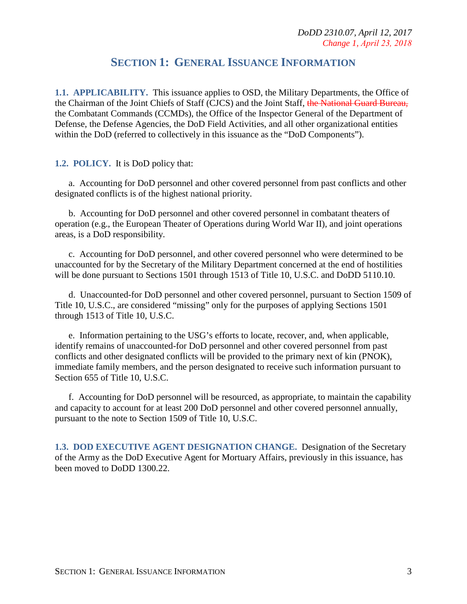## **SECTION 1: GENERAL ISSUANCE INFORMATION**

**1.1. APPLICABILITY.** This issuance applies to OSD, the Military Departments, the Office of the Chairman of the Joint Chiefs of Staff (CJCS) and the Joint Staff, the National Guard Bureau, the Combatant Commands (CCMDs), the Office of the Inspector General of the Department of Defense, the Defense Agencies, the DoD Field Activities, and all other organizational entities within the DoD (referred to collectively in this issuance as the "DoD Components").

**1.2. POLICY.** It is DoD policy that:

a. Accounting for DoD personnel and other covered personnel from past conflicts and other designated conflicts is of the highest national priority.

b. Accounting for DoD personnel and other covered personnel in combatant theaters of operation (e.g., the European Theater of Operations during World War II), and joint operations areas, is a DoD responsibility.

c. Accounting for DoD personnel, and other covered personnel who were determined to be unaccounted for by the Secretary of the Military Department concerned at the end of hostilities will be done pursuant to Sections 1501 through 1513 of Title 10, U.S.C. and DoDD 5110.10.

d. Unaccounted-for DoD personnel and other covered personnel, pursuant to Section 1509 of Title 10, U.S.C., are considered "missing" only for the purposes of applying Sections 1501 through 1513 of Title 10, U.S.C.

e. Information pertaining to the USG's efforts to locate, recover, and, when applicable, identify remains of unaccounted-for DoD personnel and other covered personnel from past conflicts and other designated conflicts will be provided to the primary next of kin (PNOK), immediate family members, and the person designated to receive such information pursuant to Section 655 of Title 10, U.S.C.

f. Accounting for DoD personnel will be resourced, as appropriate, to maintain the capability and capacity to account for at least 200 DoD personnel and other covered personnel annually, pursuant to the note to Section 1509 of Title 10, U.S.C.

**1.3. DOD EXECUTIVE AGENT DESIGNATION CHANGE.** Designation of the Secretary of the Army as the DoD Executive Agent for Mortuary Affairs, previously in this issuance, has been moved to DoDD 1300.22.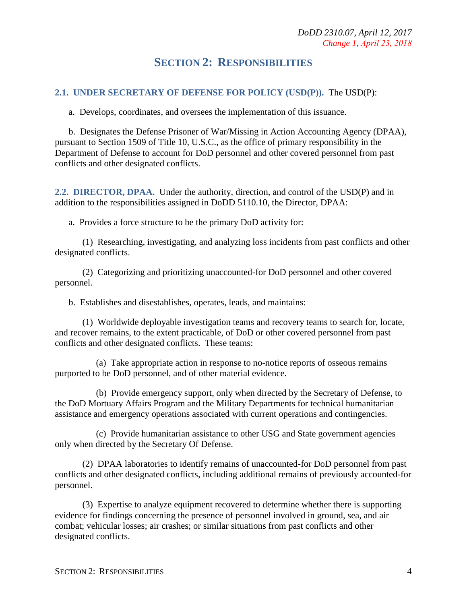## **SECTION 2: RESPONSIBILITIES**

#### **2.1. UNDER SECRETARY OF DEFENSE FOR POLICY (USD(P)).** The USD(P):

a. Develops, coordinates, and oversees the implementation of this issuance.

b. Designates the Defense Prisoner of War/Missing in Action Accounting Agency (DPAA), pursuant to Section 1509 of Title 10, U.S.C., as the office of primary responsibility in the Department of Defense to account for DoD personnel and other covered personnel from past conflicts and other designated conflicts.

**2.2. DIRECTOR, DPAA.** Under the authority, direction, and control of the USD(P) and in addition to the responsibilities assigned in DoDD 5110.10, the Director, DPAA:

a. Provides a force structure to be the primary DoD activity for:

(1) Researching, investigating, and analyzing loss incidents from past conflicts and other designated conflicts.

(2) Categorizing and prioritizing unaccounted-for DoD personnel and other covered personnel.

b. Establishes and disestablishes, operates, leads, and maintains:

(1) Worldwide deployable investigation teams and recovery teams to search for, locate, and recover remains, to the extent practicable, of DoD or other covered personnel from past conflicts and other designated conflicts. These teams:

(a) Take appropriate action in response to no-notice reports of osseous remains purported to be DoD personnel, and of other material evidence.

(b) Provide emergency support, only when directed by the Secretary of Defense, to the DoD Mortuary Affairs Program and the Military Departments for technical humanitarian assistance and emergency operations associated with current operations and contingencies.

(c) Provide humanitarian assistance to other USG and State government agencies only when directed by the Secretary Of Defense.

(2) DPAA laboratories to identify remains of unaccounted-for DoD personnel from past conflicts and other designated conflicts, including additional remains of previously accounted-for personnel.

(3) Expertise to analyze equipment recovered to determine whether there is supporting evidence for findings concerning the presence of personnel involved in ground, sea, and air combat; vehicular losses; air crashes; or similar situations from past conflicts and other designated conflicts.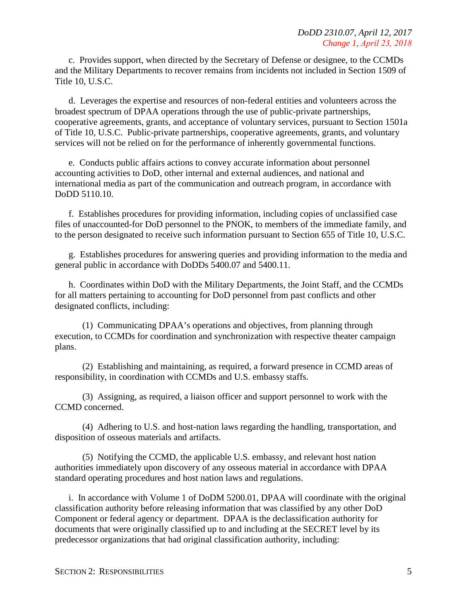c. Provides support, when directed by the Secretary of Defense or designee, to the CCMDs and the Military Departments to recover remains from incidents not included in Section 1509 of Title 10, U.S.C.

d. Leverages the expertise and resources of non-federal entities and volunteers across the broadest spectrum of DPAA operations through the use of public-private partnerships, cooperative agreements, grants, and acceptance of voluntary services, pursuant to Section 1501a of Title 10, U.S.C. Public-private partnerships, cooperative agreements, grants, and voluntary services will not be relied on for the performance of inherently governmental functions.

e. Conducts public affairs actions to convey accurate information about personnel accounting activities to DoD, other internal and external audiences, and national and international media as part of the communication and outreach program, in accordance with DoDD 5110.10.

f. Establishes procedures for providing information, including copies of unclassified case files of unaccounted-for DoD personnel to the PNOK, to members of the immediate family, and to the person designated to receive such information pursuant to Section 655 of Title 10, U.S.C.

g. Establishes procedures for answering queries and providing information to the media and general public in accordance with DoDDs 5400.07 and 5400.11.

h. Coordinates within DoD with the Military Departments, the Joint Staff, and the CCMDs for all matters pertaining to accounting for DoD personnel from past conflicts and other designated conflicts, including:

(1) Communicating DPAA's operations and objectives, from planning through execution, to CCMDs for coordination and synchronization with respective theater campaign plans.

(2) Establishing and maintaining, as required, a forward presence in CCMD areas of responsibility, in coordination with CCMDs and U.S. embassy staffs.

(3) Assigning, as required, a liaison officer and support personnel to work with the CCMD concerned.

(4) Adhering to U.S. and host-nation laws regarding the handling, transportation, and disposition of osseous materials and artifacts.

(5) Notifying the CCMD, the applicable U.S. embassy, and relevant host nation authorities immediately upon discovery of any osseous material in accordance with DPAA standard operating procedures and host nation laws and regulations.

i. In accordance with Volume 1 of DoDM 5200.01, DPAA will coordinate with the original classification authority before releasing information that was classified by any other DoD Component or federal agency or department. DPAA is the declassification authority for documents that were originally classified up to and including at the SECRET level by its predecessor organizations that had original classification authority, including: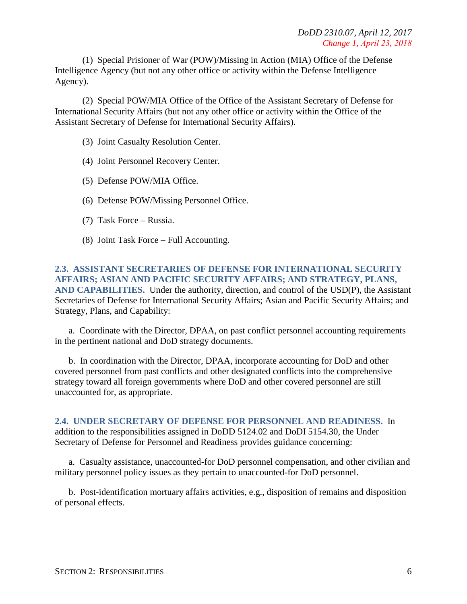(1) Special Prisioner of War (POW)/Missing in Action (MIA) Office of the Defense Intelligence Agency (but not any other office or activity within the Defense Intelligence Agency).

(2) Special POW/MIA Office of the Office of the Assistant Secretary of Defense for International Security Affairs (but not any other office or activity within the Office of the Assistant Secretary of Defense for International Security Affairs).

- (3) Joint Casualty Resolution Center.
- (4) Joint Personnel Recovery Center.
- (5) Defense POW/MIA Office.
- (6) Defense POW/Missing Personnel Office.
- (7) Task Force Russia.
- (8) Joint Task Force Full Accounting.

#### **2.3. ASSISTANT SECRETARIES OF DEFENSE FOR INTERNATIONAL SECURITY AFFAIRS; ASIAN AND PACIFIC SECURITY AFFAIRS; AND STRATEGY, PLANS, AND CAPABILITIES.** Under the authority, direction, and control of the USD(P), the Assistant Secretaries of Defense for International Security Affairs; Asian and Pacific Security Affairs; and Strategy, Plans, and Capability:

a. Coordinate with the Director, DPAA, on past conflict personnel accounting requirements in the pertinent national and DoD strategy documents.

b. In coordination with the Director, DPAA, incorporate accounting for DoD and other covered personnel from past conflicts and other designated conflicts into the comprehensive strategy toward all foreign governments where DoD and other covered personnel are still unaccounted for, as appropriate.

**2.4. UNDER SECRETARY OF DEFENSE FOR PERSONNEL AND READINESS.** In addition to the responsibilities assigned in DoDD 5124.02 and DoDI 5154.30, the Under Secretary of Defense for Personnel and Readiness provides guidance concerning:

a. Casualty assistance, unaccounted-for DoD personnel compensation, and other civilian and military personnel policy issues as they pertain to unaccounted-for DoD personnel.

b. Post-identification mortuary affairs activities, e.g., disposition of remains and disposition of personal effects.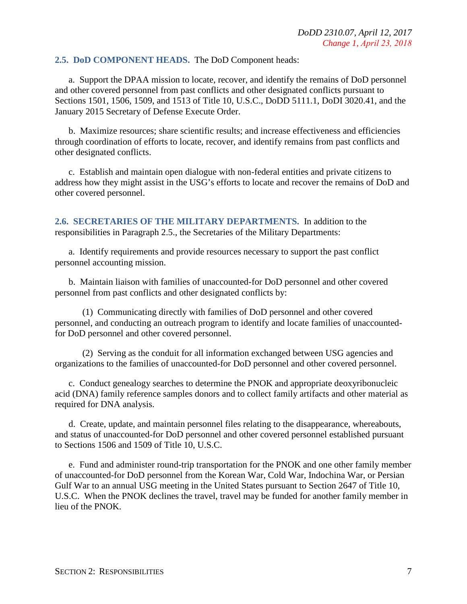#### **2.5. DoD COMPONENT HEADS.** The DoD Component heads:

a. Support the DPAA mission to locate, recover, and identify the remains of DoD personnel and other covered personnel from past conflicts and other designated conflicts pursuant to Sections 1501, 1506, 1509, and 1513 of Title 10, U.S.C., DoDD 5111.1, DoDI 3020.41, and the January 2015 Secretary of Defense Execute Order.

b. Maximize resources; share scientific results; and increase effectiveness and efficiencies through coordination of efforts to locate, recover, and identify remains from past conflicts and other designated conflicts.

c. Establish and maintain open dialogue with non-federal entities and private citizens to address how they might assist in the USG's efforts to locate and recover the remains of DoD and other covered personnel.

**2.6. SECRETARIES OF THE MILITARY DEPARTMENTS.** In addition to the responsibilities in Paragraph 2.5., the Secretaries of the Military Departments:

a. Identify requirements and provide resources necessary to support the past conflict personnel accounting mission.

b. Maintain liaison with families of unaccounted-for DoD personnel and other covered personnel from past conflicts and other designated conflicts by:

(1) Communicating directly with families of DoD personnel and other covered personnel, and conducting an outreach program to identify and locate families of unaccountedfor DoD personnel and other covered personnel.

(2) Serving as the conduit for all information exchanged between USG agencies and organizations to the families of unaccounted-for DoD personnel and other covered personnel.

c. Conduct genealogy searches to determine the PNOK and appropriate deoxyribonucleic acid (DNA) family reference samples donors and to collect family artifacts and other material as required for DNA analysis.

d. Create, update, and maintain personnel files relating to the disappearance, whereabouts, and status of unaccounted-for DoD personnel and other covered personnel established pursuant to Sections 1506 and 1509 of Title 10, U.S.C.

e. Fund and administer round-trip transportation for the PNOK and one other family member of unaccounted-for DoD personnel from the Korean War, Cold War, Indochina War, or Persian Gulf War to an annual USG meeting in the United States pursuant to Section 2647 of Title 10, U.S.C. When the PNOK declines the travel, travel may be funded for another family member in lieu of the PNOK.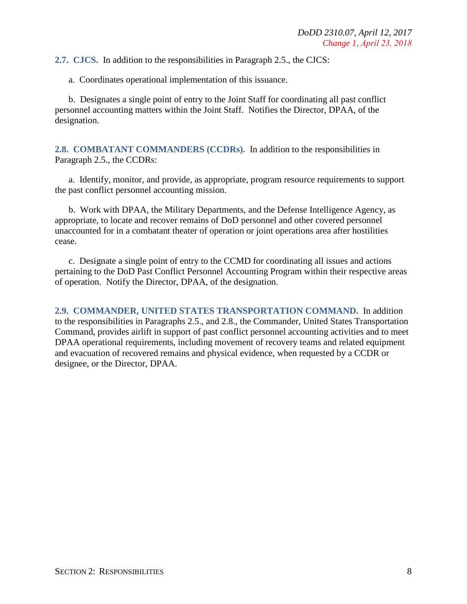**2.7. CJCS.** In addition to the responsibilities in Paragraph 2.5., the CJCS:

a. Coordinates operational implementation of this issuance.

b. Designates a single point of entry to the Joint Staff for coordinating all past conflict personnel accounting matters within the Joint Staff. Notifies the Director, DPAA, of the designation.

**2.8. COMBATANT COMMANDERS (CCDRs).** In addition to the responsibilities in Paragraph 2.5., the CCDRs:

a. Identify, monitor, and provide, as appropriate, program resource requirements to support the past conflict personnel accounting mission.

b. Work with DPAA, the Military Departments, and the Defense Intelligence Agency, as appropriate, to locate and recover remains of DoD personnel and other covered personnel unaccounted for in a combatant theater of operation or joint operations area after hostilities cease.

c. Designate a single point of entry to the CCMD for coordinating all issues and actions pertaining to the DoD Past Conflict Personnel Accounting Program within their respective areas of operation. Notify the Director, DPAA, of the designation.

**2.9. COMMANDER, UNITED STATES TRANSPORTATION COMMAND.** In addition to the responsibilities in Paragraphs 2.5., and 2.8., the Commander, United States Transportation Command, provides airlift in support of past conflict personnel accounting activities and to meet DPAA operational requirements, including movement of recovery teams and related equipment and evacuation of recovered remains and physical evidence, when requested by a CCDR or designee, or the Director, DPAA.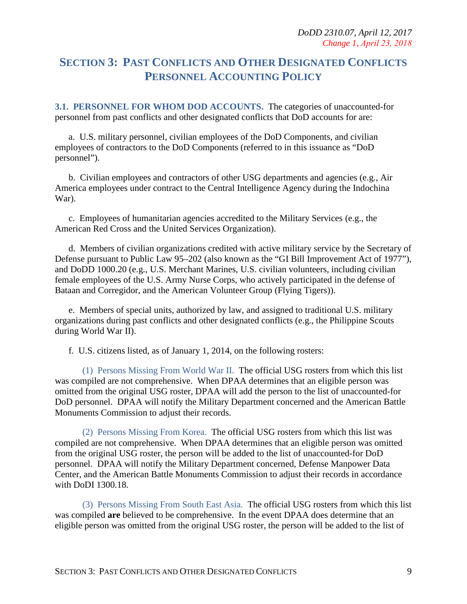## **SECTION 3: PAST CONFLICTS AND OTHER DESIGNATED CONFLICTS PERSONNEL ACCOUNTING POLICY**

**3.1. PERSONNEL FOR WHOM DOD ACCOUNTS.** The categories of unaccounted-for personnel from past conflicts and other designated conflicts that DoD accounts for are:

a. U.S. military personnel, civilian employees of the DoD Components, and civilian employees of contractors to the DoD Components (referred to in this issuance as "DoD personnel").

b. Civilian employees and contractors of other USG departments and agencies (e.g., Air America employees under contract to the Central Intelligence Agency during the Indochina War).

c. Employees of humanitarian agencies accredited to the Military Services (e.g., the American Red Cross and the United Services Organization).

d. Members of civilian organizations credited with active military service by the Secretary of Defense pursuant to Public Law 95–202 (also known as the "GI Bill Improvement Act of 1977"), and DoDD 1000.20 (e.g., U.S. Merchant Marines, U.S. civilian volunteers, including civilian female employees of the U.S. Army Nurse Corps, who actively participated in the defense of Bataan and Corregidor, and the American Volunteer Group (Flying Tigers)).

e. Members of special units, authorized by law, and assigned to traditional U.S. military organizations during past conflicts and other designated conflicts (e.g., the Philippine Scouts during World War II).

f. U.S. citizens listed, as of January 1, 2014, on the following rosters:

(1) Persons Missing From World War II. The official USG rosters from which this list was compiled are not comprehensive. When DPAA determines that an eligible person was omitted from the original USG roster, DPAA will add the person to the list of unaccounted-for DoD personnel. DPAA will notify the Military Department concerned and the American Battle Monuments Commission to adjust their records.

(2) Persons Missing From Korea. The official USG rosters from which this list was compiled are not comprehensive. When DPAA determines that an eligible person was omitted from the original USG roster, the person will be added to the list of unaccounted-for DoD personnel. DPAA will notify the Military Department concerned, Defense Manpower Data Center, and the American Battle Monuments Commission to adjust their records in accordance with DoDI 1300.18.

(3) Persons Missing From South East Asia. The official USG rosters from which this list was compiled **are** believed to be comprehensive. In the event DPAA does determine that an eligible person was omitted from the original USG roster, the person will be added to the list of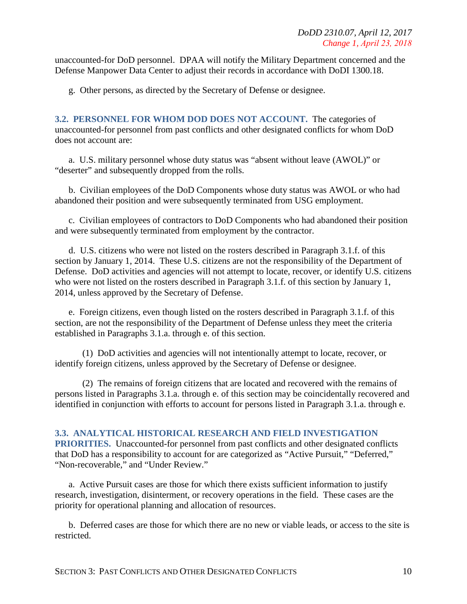unaccounted-for DoD personnel. DPAA will notify the Military Department concerned and the Defense Manpower Data Center to adjust their records in accordance with DoDI 1300.18.

g. Other persons, as directed by the Secretary of Defense or designee.

**3.2. PERSONNEL FOR WHOM DOD DOES NOT ACCOUNT.** The categories of unaccounted-for personnel from past conflicts and other designated conflicts for whom DoD does not account are:

a. U.S. military personnel whose duty status was "absent without leave (AWOL)" or "deserter" and subsequently dropped from the rolls.

b. Civilian employees of the DoD Components whose duty status was AWOL or who had abandoned their position and were subsequently terminated from USG employment.

c. Civilian employees of contractors to DoD Components who had abandoned their position and were subsequently terminated from employment by the contractor.

d. U.S. citizens who were not listed on the rosters described in Paragraph 3.1.f. of this section by January 1, 2014. These U.S. citizens are not the responsibility of the Department of Defense. DoD activities and agencies will not attempt to locate, recover, or identify U.S. citizens who were not listed on the rosters described in Paragraph 3.1.f. of this section by January 1, 2014, unless approved by the Secretary of Defense.

e. Foreign citizens, even though listed on the rosters described in Paragraph 3.1.f. of this section, are not the responsibility of the Department of Defense unless they meet the criteria established in Paragraphs 3.1.a. through e. of this section.

(1) DoD activities and agencies will not intentionally attempt to locate, recover, or identify foreign citizens, unless approved by the Secretary of Defense or designee.

(2) The remains of foreign citizens that are located and recovered with the remains of persons listed in Paragraphs 3.1.a. through e. of this section may be coincidentally recovered and identified in conjunction with efforts to account for persons listed in Paragraph 3.1.a. through e.

#### **3.3. ANALYTICAL HISTORICAL RESEARCH AND FIELD INVESTIGATION**

**PRIORITIES.** Unaccounted-for personnel from past conflicts and other designated conflicts that DoD has a responsibility to account for are categorized as "Active Pursuit," "Deferred," "Non-recoverable," and "Under Review."

a. Active Pursuit cases are those for which there exists sufficient information to justify research, investigation, disinterment, or recovery operations in the field. These cases are the priority for operational planning and allocation of resources.

b. Deferred cases are those for which there are no new or viable leads, or access to the site is restricted.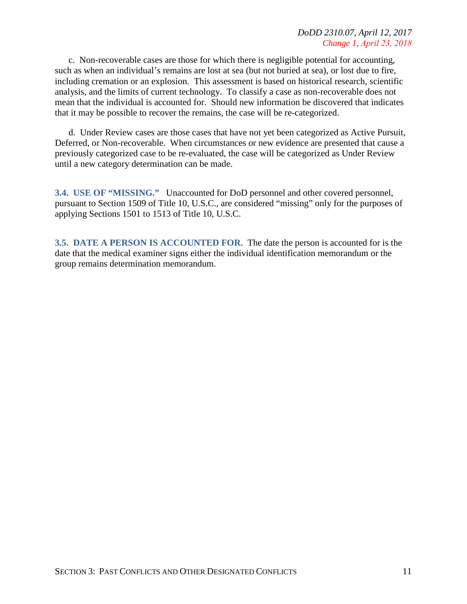c. Non-recoverable cases are those for which there is negligible potential for accounting, such as when an individual's remains are lost at sea (but not buried at sea), or lost due to fire, including cremation or an explosion. This assessment is based on historical research, scientific analysis, and the limits of current technology. To classify a case as non-recoverable does not mean that the individual is accounted for. Should new information be discovered that indicates that it may be possible to recover the remains, the case will be re-categorized.

d. Under Review cases are those cases that have not yet been categorized as Active Pursuit, Deferred, or Non-recoverable. When circumstances or new evidence are presented that cause a previously categorized case to be re-evaluated, the case will be categorized as Under Review until a new category determination can be made.

**3.4. USE OF "MISSING."** Unaccounted for DoD personnel and other covered personnel, pursuant to Section 1509 of Title 10, U.S.C., are considered "missing" only for the purposes of applying Sections 1501 to 1513 of Title 10, U.S.C.

**3.5. DATE A PERSON IS ACCOUNTED FOR.** The date the person is accounted for is the date that the medical examiner signs either the individual identification memorandum or the group remains determination memorandum.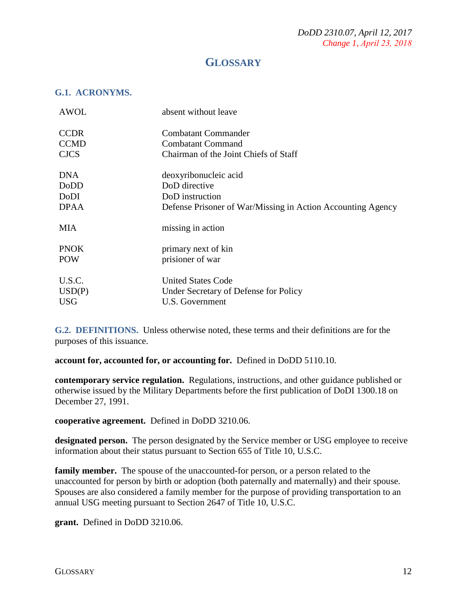## **GLOSSARY**

#### **G.1. ACRONYMS.**

| <b>AWOL</b> | absent without leave                                        |
|-------------|-------------------------------------------------------------|
| <b>CCDR</b> | Combatant Commander                                         |
| <b>CCMD</b> | <b>Combatant Command</b>                                    |
| <b>CJCS</b> | Chairman of the Joint Chiefs of Staff                       |
| <b>DNA</b>  | deoxyribonucleic acid                                       |
| DoDD        | DoD directive                                               |
| DoDI        | DoD instruction                                             |
| <b>DPAA</b> | Defense Prisoner of War/Missing in Action Accounting Agency |
| MIA         | missing in action                                           |
| <b>PNOK</b> | primary next of kin                                         |
| <b>POW</b>  | prisioner of war                                            |
| U.S.C.      | <b>United States Code</b>                                   |
| USD(P)      | Under Secretary of Defense for Policy                       |
| <b>USG</b>  | U.S. Government                                             |

**G.2. DEFINITIONS.** Unless otherwise noted, these terms and their definitions are for the purposes of this issuance.

**account for, accounted for, or accounting for.** Defined in DoDD 5110.10.

**contemporary service regulation.** Regulations, instructions, and other guidance published or otherwise issued by the Military Departments before the first publication of DoDI 1300.18 on December 27, 1991.

**cooperative agreement.** Defined in DoDD 3210.06.

**designated person.** The person designated by the Service member or USG employee to receive information about their status pursuant to Section 655 of Title 10, U.S.C.

**family member.** The spouse of the unaccounted-for person, or a person related to the unaccounted for person by birth or adoption (both paternally and maternally) and their spouse. Spouses are also considered a family member for the purpose of providing transportation to an annual USG meeting pursuant to Section 2647 of Title 10, U.S.C.

**grant.** Defined in DoDD 3210.06.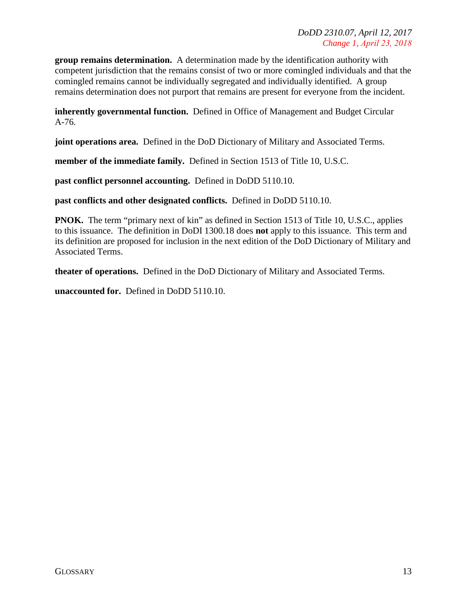**group remains determination.** A determination made by the identification authority with competent jurisdiction that the remains consist of two or more comingled individuals and that the comingled remains cannot be individually segregated and individually identified. A group remains determination does not purport that remains are present for everyone from the incident.

**inherently governmental function.** Defined in Office of Management and Budget Circular A-76.

**joint operations area.** Defined in the DoD Dictionary of Military and Associated Terms.

**member of the immediate family.** Defined in Section 1513 of Title 10, U.S.C.

**past conflict personnel accounting.** Defined in DoDD 5110.10.

**past conflicts and other designated conflicts.** Defined in DoDD 5110.10.

**PNOK.** The term "primary next of kin" as defined in Section 1513 of Title 10, U.S.C., applies to this issuance. The definition in DoDI 1300.18 does **not** apply to this issuance. This term and its definition are proposed for inclusion in the next edition of the DoD Dictionary of Military and Associated Terms.

**theater of operations.** Defined in the DoD Dictionary of Military and Associated Terms.

**unaccounted for.** Defined in DoDD 5110.10.